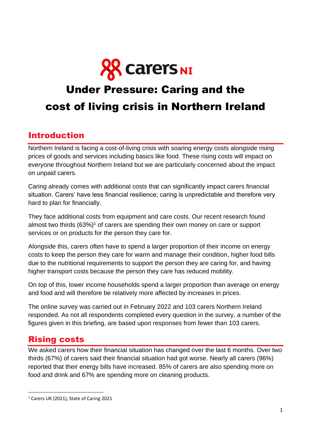

# Under Pressure: Caring and the cost of living crisis in Northern Ireland

# Introduction

Northern Ireland is facing a cost-of-living crisis with soaring energy costs alongside rising prices of goods and services including basics like food. These rising costs will impact on everyone throughout Northern Ireland but we are particularly concerned about the impact on unpaid carers.

Caring already comes with additional costs that can significantly impact carers financial situation. Carers' have less financial resilience; caring is unpredictable and therefore very hard to plan for financially.

They face additional costs from equipment and care costs. Our recent research found almost two thirds  $(63\%)$ <sup>1</sup> of carers are spending their own money on care or support services or on products for the person they care for.

Alongside this, carers often have to spend a larger proportion of their income on energy costs to keep the person they care for warm and manage their condition, higher food bills due to the nutritional requirements to support the person they are caring for, and having higher transport costs because the person they care has reduced mobility.

On top of this, lower income households spend a larger proportion than average on energy and food and will therefore be relatively more affected by increases in prices.

The online survey was carried out in February 2022 and 103 carers Northern Ireland responded. As not all respondents completed every question in the survey, a number of the figures given in this briefing, are based upon responses from fewer than 103 carers.

# Rising costs

We asked carers how their financial situation has changed over the last 6 months. Over two thirds (67%) of carers said their financial situation had got worse. Nearly all carers (96%) reported that their energy bills have increased. 85% of carers are also spending more on food and drink and 67% are spending more on cleaning products.

<sup>1</sup> Carers UK (2021), State of Caring 2021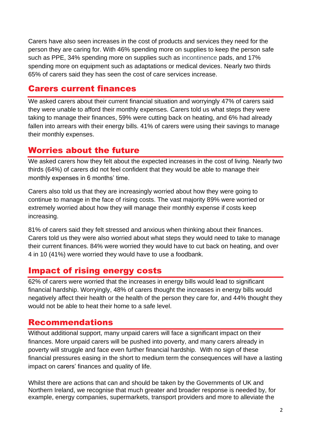Carers have also seen increases in the cost of products and services they need for the person they are caring for. With 46% spending more on supplies to keep the person safe such as PPE, 34% spending more on supplies such as incontinence pads, and 17% spending more on equipment such as adaptations or medical devices. Nearly two thirds 65% of carers said they has seen the cost of care services increase.

#### Carers current finances

We asked carers about their current financial situation and worryingly 47% of carers said they were unable to afford their monthly expenses. Carers told us what steps they were taking to manage their finances, 59% were cutting back on heating, and 6% had already fallen into arrears with their energy bills. 41% of carers were using their savings to manage their monthly expenses.

# Worries about the future

We asked carers how they felt about the expected increases in the cost of living. Nearly two thirds (64%) of carers did not feel confident that they would be able to manage their monthly expenses in 6 months' time.

Carers also told us that they are increasingly worried about how they were going to continue to manage in the face of rising costs. The vast majority 89% were worried or extremely worried about how they will manage their monthly expense if costs keep increasing.

81% of carers said they felt stressed and anxious when thinking about their finances. Carers told us they were also worried about what steps they would need to take to manage their current finances. 84% were worried they would have to cut back on heating, and over 4 in 10 (41%) were worried they would have to use a foodbank.

### Impact of rising energy costs

62% of carers were worried that the increases in energy bills would lead to significant financial hardship. Worryingly, 48% of carers thought the increases in energy bills would negatively affect their health or the health of the person they care for, and 44% thought they would not be able to heat their home to a safe level.

### Recommendations

Without additional support, many unpaid carers will face a significant impact on their finances. More unpaid carers will be pushed into poverty, and many carers already in poverty will struggle and face even further financial hardship. With no sign of these financial pressures easing in the short to medium term the consequences will have a lasting impact on carers' finances and quality of life.

Whilst there are actions that can and should be taken by the Governments of UK and Northern Ireland, we recognise that much greater and broader response is needed by, for example, energy companies, supermarkets, transport providers and more to alleviate the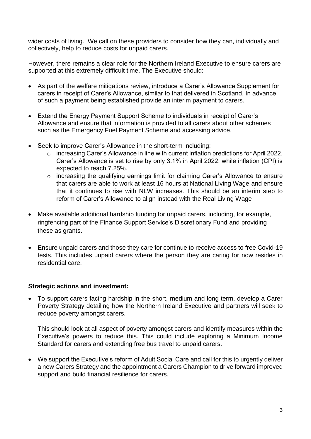wider costs of living. We call on these providers to consider how they can, individually and collectively, help to reduce costs for unpaid carers.

However, there remains a clear role for the Northern Ireland Executive to ensure carers are supported at this extremely difficult time. The Executive should:

- As part of the welfare mitigations review, introduce a Carer's Allowance Supplement for carers in receipt of Carer's Allowance, similar to that delivered in Scotland. In advance of such a payment being established provide an interim payment to carers.
- Extend the Energy Payment Support Scheme to individuals in receipt of Carer's Allowance and ensure that information is provided to all carers about other schemes such as the Emergency Fuel Payment Scheme and accessing advice.
- Seek to improve Carer's Allowance in the short-term including:
	- o increasing Carer's Allowance in line with current inflation predictions for April 2022. Carer's Allowance is set to rise by only 3.1% in April 2022, while inflation (CPI) is expected to reach 7.25%.
	- o increasing the qualifying earnings limit for claiming Carer's Allowance to ensure that carers are able to work at least 16 hours at National Living Wage and ensure that it continues to rise with NLW increases. This should be an interim step to reform of Carer's Allowance to align instead with the Real Living Wage
- Make available additional hardship funding for unpaid carers, including, for example, ringfencing part of the Finance Support Service's Discretionary Fund and providing these as grants.
- Ensure unpaid carers and those they care for continue to receive access to free Covid-19 tests. This includes unpaid carers where the person they are caring for now resides in residential care.

#### **Strategic actions and investment:**

• To support carers facing hardship in the short, medium and long term, develop a Carer Poverty Strategy detailing how the Northern Ireland Executive and partners will seek to reduce poverty amongst carers.

This should look at all aspect of poverty amongst carers and identify measures within the Executive's powers to reduce this. This could include exploring a Minimum Income Standard for carers and extending free bus travel to unpaid carers.

• We support the Executive's reform of Adult Social Care and call for this to urgently deliver a new Carers Strategy and the appointment a Carers Champion to drive forward improved support and build financial resilience for carers.